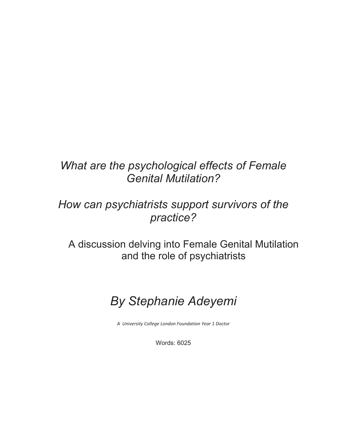# *What are the psychological effects of Female Genital Mutilation?*

# *How can psychiatrists support survivors of the practice?*

A discussion delving into Female Genital Mutilation and the role of psychiatrists

# *By Stephanie Adeyemi*

*A University College London Foundation Year 1 Doctor*

Words: 6025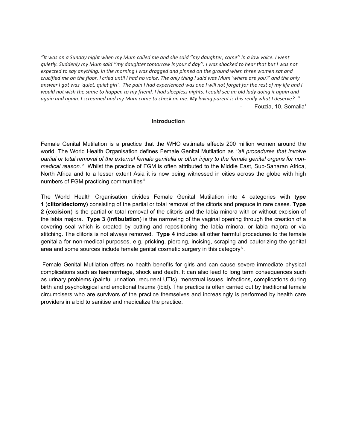*''It was on a Sunday night when my Mum called me and she said ''my daughter, come'' in a low voice. I went quietly. Suddenly my Mum said ''my daughter tomorrow is your d day''. I was shocked to hear that but I was not expected to say anything. In the morning I was dragged and pinned on the ground when three women sat and crucified me on the floor. I cried until I had no voice. The only thing I said was Mum 'where are you?' and the only answer I got was 'quiet, quiet girl'. The pain I had experienced was one I will not forget for the rest of my life and I would not wish the same to happen to my friend. I had sleepless nights. I could see an old lady doing it again and again and again. I screamed and my Mum came to check on me. My loving parent is this really what I deserve? ''* Fouz[i](#page-12-0)a, 10, Somalia<sup>1</sup>

#### **Introduction**

Female Genital Mutilation is a practice that the WHO estimate affects 200 million women around the world. The World Health Organisation defines Female Genital Mutilation as *''all procedures that involve partial or total removal of the external female genitalia or other injury to the female genital organs for nonmedical reason.[ii](#page-12-1)*'' Whilst the practice of FGM is often attributed to the Middle East, Sub-Saharan Africa, North Africa and to a lesser extent Asia it is now being witnessed in cities across the globe with high numbers of FGM practicing communities<sup>[iii](#page-12-2)</sup>.

The World Health Organisation divides Female Genital Mutilation into 4 categories with t**ype 1** (**clitoridectomy)** consisting of the partial or total removal of the clitoris and prepuce in rare cases. **Type 2** (**excision**) is the partial or total removal of the clitoris and the labia minora with or without excision of the labia majora. **Type 3 (infibulation**) is the narrowing of the vaginal opening through the creation of a covering seal which is created by cutting and repositioning the labia minora, or labia majora or via stitching. The clitoris is not always removed. **Type 4** includes all other harmful procedures to the female genitalia for non-medical purposes, e.g. pricking, piercing, incising, scraping and cauterizing the genital area and some sources include female genital cosmetic surgery in this category<sup>iv</sup>.

Female Genital Mutilation offers no health benefits for girls and can cause severe immediate physical complications such as haemorrhage, shock and death. It can also lead to long term consequences such as urinary problems (painful urination, recurrent UTIs), menstrual issues, infections, complications during birth and psychological and emotional trauma (ibid). The practice is often carried out by traditional female circumcisers who are survivors of the practice themselves and increasingly is performed by health care providers in a bid to sanitise and medicalize the practice.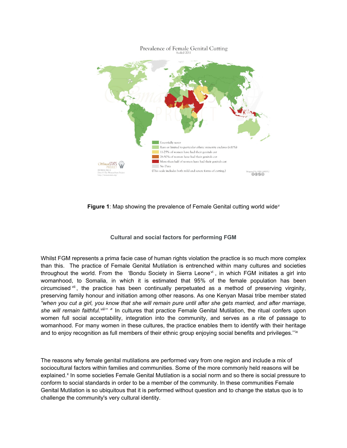

**Figure 1:** Map showing the pr[ev](#page-12-4)alence of Female Genital cutting world wide<sup>v</sup>

# **Cultural and social factors for performing FGM**

Whilst FGM represents a prima facie case of human rights violation the practice is so much more complex than this. The practice of Female Genital Mutilation is entrenched within many cultures and societies throughout the world. From the 'Bondu Society in Sierra Leone $\mathbf{v}_i$ , in which FGM initiates a girl into womanhood, to Somalia, in which it is estimated that 95% of the female population has been circumcised  $\frac{v}{v}$ , the practice has been continually perpetuated as a method of preserving virginity, preserving family honour and initiation among other reasons. As one Kenyan Masai tribe member stated *"when you cut a girl, you know that she will remain pure until after she gets married, and after marriage, she will remain faithful.[viii](#page-12-7)'' '*' In cultures that practice Female Genital Mutilation, the ritual confers upon women full social acceptability, integration into the community, and serves as a rite of passage to womanhood. For many women in these cultures, the practice enables them to identify with their heritage and to enjoy recognition as full members of their ethnic group enjoying social benefits and privileges."<sup>[ix](#page-12-8)</sup>

The reasons why female genital mutilations are performed vary from one region and include a mix of sociocultural factors within families and communities. Some of the more commonly held reasons will be e[x](#page-12-9)plained.<sup>x</sup> In some societies Female Genital Mutilation is a social norm and so there is social pressure to conform to social standards in order to be a member of the community. In these communities Female Genital Mutilation is so ubiquitous that it is performed without question and to change the status quo is to challenge the community's very cultural identity.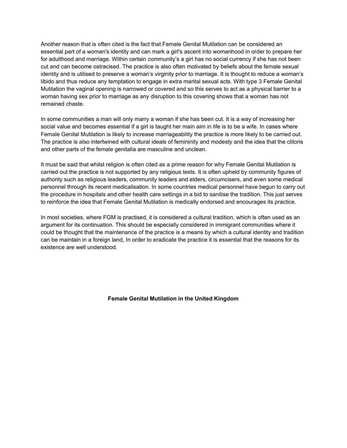Another reason that is often cited is the fact that Female Genital Mutilation can be considered an essential part of a woman's identity and can mark a girl's ascent into womanhood in order to prepare her for adulthood and marriage. Within certain community's a girl has no social currency if she has not been cut and can become ostracised. The practice is also often motivated by beliefs about the female sexual identity and is utilised to preserve a woman's virginity prior to marriage. It is thought to reduce a woman's libido and thus reduce any temptation to engage in extra marital sexual acts. With type 3 Female Genital Mutilation the vaginal opening is narrowed or covered and so this serves to act as a physical barrier to a woman having sex prior to marriage as any disruption to this covering shows that a woman has not remained chaste.

In some communities a man will only marry a woman if she has been cut. It is a way of increasing her social value and becomes essential if a girl is taught her main aim in life is to be a wife. In cases where Female Genital Mutilation is likely to increase marriageability the practice is more likely to be carried out. The practice is also intertwined with cultural ideals of femininity and modesty and the idea that the clitoris and other parts of the female genitalia are masculine and unclean.

It must be said that whilst religion is often cited as a prime reason for why Female Genital Mutilation is carried out the practice is not supported by any religious texts. It is often upheld by community figures of authority such as religious leaders, community leaders and elders, circumcisers, and even some medical personnel through its recent medicalisation. In some countries medical personnel have begun to carry out the procedure in hospitals and other health care settings in a bid to sanitise the tradition. This just serves to reinforce the idea that Female Genital Mutilation is medically endorsed and encourages its practice.

In most societies, where FGM is practised, it is considered a cultural tradition, which is often used as an argument for its continuation. This should be especially considered in immigrant communities where it could be thought that the maintenance of the practice is a means by which a cultural identity and tradition can be maintain in a foreign land, In order to eradicate the practice it is essential that the reasons for its existence are well understood.

#### **Female Genital Mutilation in the United Kingdom**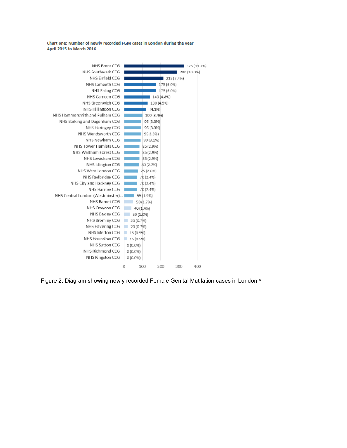Chart one: Number of newly recorded FGM cases in London during the year April 2015 to March 2016



Figure 2: Diagram showing newly recorded Female Genital Mutilation cases in London [xi](#page-12-10)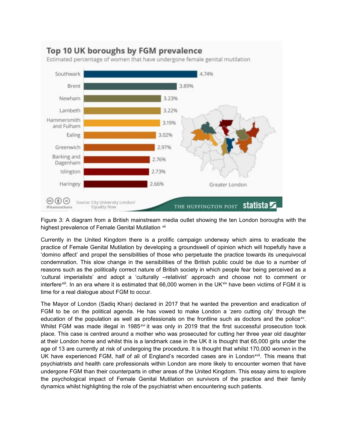

Figure 3: A diagram from a British mainstream media outlet showing the ten London boroughs with the highest prevalence of Female Genital Mutilation [xii](#page-13-0)

Currently in the United Kingdom there is a prolific campaign underway which aims to eradicate the practice of Female Genital Mutilation by developing a groundswell of opinion which will hopefully have a 'domino affect' and propel the sensibilities of those who perpetuate the practice towards its unequivocal condemnation. This slow change in the sensibilities of the British public could be due to a number of reasons such as the politically correct nature of British society in which people fear being perceived as a 'cultural imperialists' and adopt a 'culturally –relativist' approach and choose not to comment or interfere<sup>xiii</sup>. In an era where it is estimated that 66,000 women in the UK<sup>[xiv](#page-13-2)</sup> have been victims of FGM it is time for a real dialogue about FGM to occur.

The Mayor of London (Sadiq Khan) declared in 2017 that he wanted the prevention and eradication of FGM to be on the political agenda. He has vowed to make London a 'zero cutting city' through the education of the population as well as professionals on the frontline such as doctors and the police<sup>xy</sup>. Whilst FGM was made illegal in 1985*[xvi](#page-13-4)* it was only in 2019 that the first successful prosecution took place. This case is centred around a mother who was prosecuted for cutting her three year old daughter at their London home and whilst this is a landmark case in the UK it is thought that 65,000 girls under the age of 13 are currently at risk of undergoing the procedure. It is thought that whilst 170,000 *women* in the UK have experienced FGM, half of all of England's recorded cases are in London<sup>[xvii](#page-13-5)</sup>. This means that psychiatrists and health care professionals within London are more likely to encounter women that have undergone FGM than their counterparts in other areas of the United Kingdom. This essay aims to explore the psychological impact of Female Genital Mutilation on survivors of the practice and their family dynamics whilst highlighting the role of the psychiatrist when encountering such patients.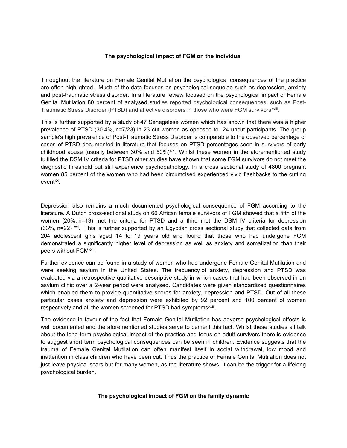#### **The psychological impact of FGM on the individual**

Throughout the literature on Female Genital Mutilation the psychological consequences of the practice are often highlighted. Much of the data focuses on psychological sequelae such as depression, anxiety and post-traumatic stress disorder. In a literature review focused on the psychological impact of Female Genital Mutilation 80 percent of analysed studies reported psychological consequences, such as Post-Traumatic Stress Disorder (PTSD) and affective disorders in those who were FGM survivors<sup>xviii</sup>.

This is further supported by a study of 47 Senegalese women which has shown that there was a higher prevalence of PTSD (30.4%, n=7/23) in 23 cut women as opposed to 24 uncut participants. The group sample's high prevalence of Post-Traumatic Stress Disorder is comparable to the observed percentage of cases of PTSD documented in literature that focuses on PTSD percentages seen in survivors of early childhood abuse (usually between 30% and  $50\%$ )<sup>xix</sup>. Whilst these women in the aforementioned study fulfilled the DSM IV criteria for PTSD other studies have shown that some FGM survivors do not meet the diagnostic threshold but still experience psychopathology. In a cross sectional study of 4800 pregnant women 85 percent of the women who had been circumcised experienced vivid flashbacks to the cutting event<sup>[xx](#page-13-8)</sup>.

Depression also remains a much documented psychological consequence of FGM according to the literature. A Dutch cross-sectional study on 66 African female survivors of FGM showed that a fifth of the women (20%, n=13) met the criteria for PTSD and a third met the DSM IV criteria for depression  $(33\%$ , n=22)  $\frac{xx}{x}$ . This is further supported by an Egyptian cross sectional study that collected data from 204 adolescent girls aged 14 to 19 years old and found that those who had undergone FGM demonstrated a significantly higher level of depression as well as anxiety and somatization than their peers without FGM<sup>[xxii](#page-13-10)</sup>.

Further evidence can be found in a study of women who had undergone Female Genital Mutilation and were seeking asylum in the United States. The frequency of anxiety, depression and PTSD was evaluated via a retrospective qualitative descriptive study in which cases that had been observed in an asylum clinic over a 2-year period were analysed. Candidates were given standardized questionnaires which enabled them to provide quantitative scores for anxiety, depression and PTSD. Out of all these particular cases anxiety and depression were exhibited by 92 percent and 100 percent of women respectively and all the women screened for PTSD had symptoms<sup>xxiii</sup>.

The evidence in favour of the fact that Female Genital Mutilation has adverse psychological effects is well documented and the aforementioned studies serve to cement this fact. Whilst these studies all talk about the long term psychological impact of the practice and focus on adult survivors there is evidence to suggest short term psychological consequences can be seen in children. Evidence suggests that the trauma of Female Genital Mutilation can often manifest itself in social withdrawal, low mood and inattention in class children who have been cut. Thus the practice of Female Genital Mutilation does not just leave physical scars but for many women, as the literature shows, it can be the trigger for a lifelong psychological burden.

#### **The psychological impact of FGM on the family dynamic**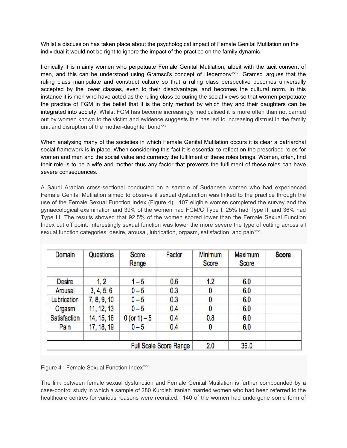Whilst a discussion has taken place about the psychological impact of Female Genital Mutilation on the individual it would not be right to ignore the impact of the practice on the family dynamic.

Ironically it is mainly women who perpetuate Female Genital Mutilation, albeit with the tacit consent of men, and this can be understood using Gramsci's concept of Hegemony[xxiv.](#page-13-12) Gramsci argues that the ruling class manipulate and construct culture so that a ruling class perspective becomes universally accepted by the lower classes, even to their disadvantage, and becomes the cultural norm. In this instance it is men who have acted as the ruling class colouring the social views so that women perpetuate the practice of FGM in the belief that it is the only method by which they and their daughters can be integrated into society. Whilst FGM has become increasingly medicalised it is more often than not carried out by women known to the victim and evidence suggests this has led to increasing distrust in the family unit and disruption of the mother-daughter bond<sup>[xxv](#page-13-13)</sup>

When analysing many of the societies in which Female Genital Mutilation occurs it is clear a patriarchal social framework is in place. When considering this fact it is essential to reflect on the prescribed roles for women and men and the social value and currency the fulfilment of these roles brings. Women, often, find their role is to be a wife and mother thus any factor that prevents the fulfilment of these roles can have severe consequences.

A Saudi Arabian cross-sectional conducted on a sample of Sudanese women who had experienced Female Genital Mutilation aimed to observe if sexual dysfunction was linked to the practice through the use of the Female Sexual Function Index (Figure 4). 107 eligible women completed the survey and the gynaecological examination and 39% of the women had FGM/C Type I, 25% had Type II, and 36% had Type III. The results showed that 92.5% of the women scored lower than the Female Sexual Function Index cut off point. Interestingly sexual function was lower the more severe the type of cutting across all sexual function categories: desire, arousal, lubrication, orgasm, satisfaction, and pain[xxvi.](#page-13-14)

| <b>Domain</b>          | Questions   | Score<br>Range | Factor | Minimum<br>Score | <b>Maximum</b><br>Score | <b>Score</b> |
|------------------------|-------------|----------------|--------|------------------|-------------------------|--------------|
| Desire                 | 1, 2        | $1 - 5$        | 0.6    | 1.2              | 6.0                     |              |
| Arousal                | 3, 4, 5, 6  | $0 - 5$        | 0.3    | $\bf{0}$         | 6.0                     |              |
| Lubrication            | 7, 8, 9, 10 | $0 - 5$        | 0.3    | 0                | 6.0                     |              |
| Orgasm                 | 11, 12, 13  | $0 - 5$        | 0.4    | $\bf{0}$         | 6.0                     |              |
| Satisfaction           | 14, 15, 16  | $0 (or 1) - 5$ | 0.4    | 0.8              | 6.0                     |              |
| Pain                   | 17, 18, 19  | $0 - 5$        | 0.4    | $\bf{0}$         | 6.0                     |              |
| Full Scale Score Range |             |                |        | 2.0              | 36.0                    |              |

F[i](#page-13-15)gure 4 : Female Sexual Function Index<sup>xxvii</sup>

The link between female sexual dysfunction and Female Genital Mutilation is further compounded by a case-control study in which a sample of 280 Kurdish Iranian married women who had been referred to the healthcare centres for various reasons were recruited. 140 of the women had undergone some form of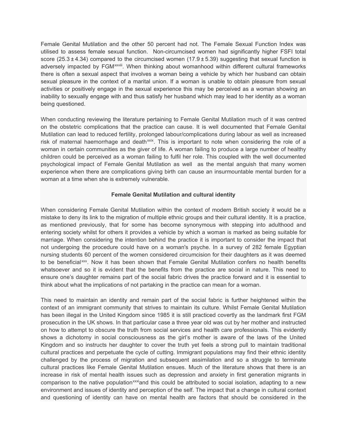Female Genital Mutilation and the other 50 percent had not. The Female Sexual Function Index was utilised to assess female sexual function. Non-circumcised women had significantly higher FSFI total score  $(25.3 \pm 4.34)$  compared to the circumcised women  $(17.9 \pm 5.39)$  suggesting that sexual function is adversely impacted by FGM<sup>xxviii</sup>[.](#page-13-16) When thinking about womanhood within different cultural frameworks there is often a sexual aspect that involves a woman being a vehicle by which her husband can obtain sexual pleasure in the context of a marital union. If a woman is unable to obtain pleasure from sexual activities or positively engage in the sexual experience this may be perceived as a woman showing an inability to sexually engage with and thus satisfy her husband which may lead to her identity as a woman being questioned.

When conducting reviewing the literature pertaining to Female Genital Mutilation much of it was centred on the obstetric complications that the practice can cause. It is well documented that Female Genital Mutilation can lead to reduced fertility, prolonged labour/complications during labour as well as increased risk of maternal haemorrhage and death[xxix](#page-13-17). This is important to note when considering the role of a woman in certain communities as the giver of life. A woman failing to produce a large number of healthy children could be perceived as a woman failing to fulfil her role. This coupled with the well documented psychological impact of Female Genital Mutilation as well as the mental anguish that many women experience when there are complications giving birth can cause an insurmountable mental burden for a woman at a time when she is extremely vulnerable.

# **Female Genital Mutilation and cultural identity**

When considering Female Genital Mutilation within the context of modern British society it would be a mistake to deny its link to the migration of multiple ethnic groups and their cultural identity. It is a practice, as mentioned previously, that for some has become synonymous with stepping into adulthood and entering society whilst for others it provides a vehicle by which a woman is marked as being suitable for marriage. When considering the intention behind the practice it is important to consider the impact that not undergoing the procedure could have on a woman's psyche. In a survey of 282 female Egyptian nursing students 60 percent of the women considered circumcision for their daughters as it was deemed to be beneficial<sup>[xxx](#page-13-18)</sup>. Now it has been shown that Female Genital Mutilation confers no health benefits whatsoever and so it is evident that the benefits from the practice are social in nature. This need to ensure one's daughter remains part of the social fabric drives the practice forward and it is essential to think about what the implications of not partaking in the practice can mean for a woman.

This need to maintain an identity and remain part of the social fabric is further heightened within the context of an immigrant community that strives to maintain its culture. Whilst Female Genital Mutilation has been illegal in the United Kingdom since 1985 it is still practiced covertly as the landmark first FGM prosecution in the UK shows. In that particular case a three year old was cut by her mother and instructed on how to attempt to obscure the truth from social services and health care professionals. This evidently shows a dichotomy in social consciousness as the girl's mother is aware of the laws of the United Kingdom and so instructs her daughter to cover the truth yet feels a strong pull to maintain traditional cultural practices and perpetuate the cycle of cutting. Immigrant populations may find their ethnic identity challenged by the process of migration and subsequent assimilation and so a struggle to terminate cultural practices like Female Genital Mutilation ensues. Much of the literature shows that there is an increase in risk of mental health issues such as depression and anxiety in first generation migrants in comparison to the native population<sup>xxxi</sup>and this could be attributed to social isolation, adapting to a new environment and issues of identity and perception of the self. The impact that a change in cultural context and questioning of identity can have on mental health are factors that should be considered in the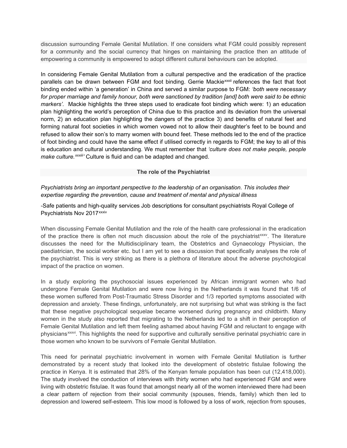discussion surrounding Female Genital Mutilation. If one considers what FGM could possibly represent for a community and the social currency that hinges on maintaining the practice then an attitude of empowering a community is empowered to adopt different cultural behaviours can be adopted.

In considering Female Genital Mutilation from a cultural perspective and the eradication of the practice pa[r](#page-13-20)allels can be drawn between FGM and foot binding. Gerrie Mackie<sup>xxxii</sup> references the fact that foot *make culture.<sup>xxxiii</sup>'* Culture is fluid and can be adapted and changed. binding ended within 'a generation' in China and served a similar purpose to FGM: *'both were necessary for proper marriage and family honour, both were sanctioned by tradition [and] both were said to be ethnic markers'.* Mackie highlights the three steps used to eradicate foot binding which were: 1) an education plan highlighting the world's perception of China due to this practice and its deviation from the universal norm, 2) an education plan highlighting the dangers of the practice 3) and benefits of natural feet and forming natural foot societies in which women vowed not to allow their daughter's feet to be bound and refused to allow their son's to marry women with bound feet. These methods led to the end of the practice of foot binding and could have the same effect if utilised correctly in regards to FGM; the key to all of this is education and cultural understanding. We must remember that *'culture does not make people, people* 

# **The role of the Psychiatrist**

*Psychiatrists bring an important perspective to the leadership of an organisation. This includes their expertise regarding the prevention, cause and treatment of mental and physical illness*

-Safe patients and high-quality services Job descriptions for consultant psychiatrists Royal College of Psychiatrists Nov 2017<sup>xxxiv</sup>

When discussing Female Genital Mutilation and the role of the health care professional in the eradication of the practice there is often not much discussion about the role of the psychiatrist[xxxv.](#page-14-1) The literature discusses the need for the Multidisciplinary team, the Obstetrics and Gynaecology Physician, the paediatrician, the social worker etc. but I am yet to see a discussion that specifically analyses the role of the psychiatrist. This is very striking as there is a plethora of literature about the adverse psychological impact of the practice on women.

In a study exploring the psychosocial issues experienced by African immigrant women who had undergone Female Genital Mutilation and were now living in the Netherlands it was found that 1/6 of these women suffered from Post-Traumatic Stress Disorder and 1/3 reported symptoms associated with depression and anxiety. These findings, unfortunately, are not surprising but what was striking is the fact that these negative psychological sequelae became worsened during pregnancy and childbirth. Many women in the study also reported that migrating to the Netherlands led to a shift in their perception of Female Genital Mutilation and left them feeling ashamed about having FGM and reluctant to engage with physicians<sup>xxxvi</sup>. This highlights the need for supportive and culturally sensitive perinatal psychiatric care in those women who known to be survivors of Female Genital Mutilation[.](#page-14-2)

This need for perinatal psychiatric involvement in women with Female Genital Mutilation is further demonstrated by a recent study that looked into the development of obstetric fistulae following the practice in Kenya. It is estimated that 28% of the Kenyan female population has been cut (12,418,000). The study involved the conduction of interviews with thirty women who had experienced FGM and were living with obstetric fistulae. It was found that amongst nearly all of the women interviewed there had been a clear pattern of rejection from their social community (spouses, friends, family) which then led to depression and lowered self-esteem. This low mood is followed by a loss of work, rejection from spouses,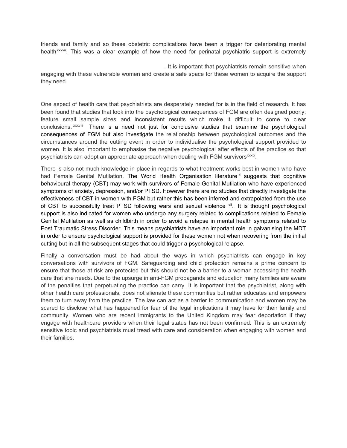friends and family and so these obstetric complications have been a trigger for deteriorating mental health<sup>xxxvii</sup>. This was a clear example of how the need for perinatal psychiatric support is extremely

. It is important that psychiatrists remain sensitive when engaging with these vulnerable women and create a safe space for these women to acquire the support they need.

One aspect of health care that psychiatrists are desperately needed for is in the field of research. It has been found that studies that look into the psychological consequences of FGM are often designed poorly; feature small sample sizes and inconsistent results which make it difficult to come to clear conclusions. xxxviii There is a need not just for conclusive studies that examine the psychological psychiatrists can adopt an appropriate approach when dealing with FGM survivors<sup>xxxix</sup>. consequences of FGM but also investigate the relationship between psychological outcomes and the circumstances around the cutting event in order to individualise the psychological support provided to women. It is also important to emphasise the negative psychological after effects of the practice so that

There is also not much knowledge in place in regards to what treatment works best in women who have had Female Genital Mutilation. The World Health Organisation literature  $x<sup>i</sup>$  suggests that cognitive behavioural therapy (CBT) may work with survivors of Female Genital Mutilation who have experienced symptoms of anxiety, depression, and/or PTSD. However there are no studies that directly investigate the effectiveness of CBT in women with FGM but rather this has been inferred and extrapolated from the use of CBT to successfully treat PTSD following wars and sexual violence  $x_{ij}$ . It is thought psychological support is also indicated for women who undergo any surgery related to complications related to Female Genital Mutilation as well as childbirth in order to avoid a relapse in mental health symptoms related to Post Traumatic Stress Disorder. This means psychiatrists have an important role in galvanising the MDT in order to ensure psychological support is provided for these women not when recovering from the initial cutting but in all the subsequent stages that could trigger a psychological relapse.

Finally a conversation must be had about the ways in which psychiatrists can engage in key conversations with survivors of FGM. Safeguarding and child protection remains a prime concern to ensure that those at risk are protected but this should not be a barrier to a woman accessing the health care that she needs. Due to the upsurge in anti-FGM propaganda and education many families are aware of the penalties that perpetuating the practice can carry. It is important that the psychiatrist, along with other health care professionals, does not alienate these communities but rather educates and empowers them to turn away from the practice. The law can act as a barrier to communication and women may be scared to disclose what has happened for fear of the legal implications it may have for their family and community. Women who are recent immigrants to the United Kingdom may fear deportation if they engage with healthcare providers when their legal status has not been confirmed. This is an extremely sensitive topic and psychiatrists must tread with care and consideration when engaging with women and their families.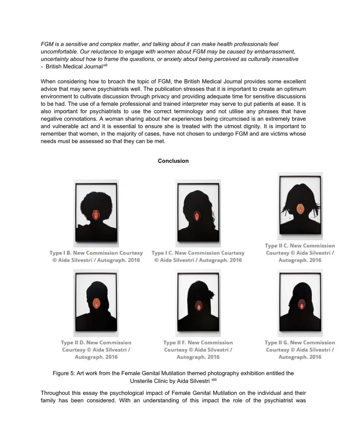*FGM is a sensitive and complex matter, and talking about it can make health professionals feel uncomfortable. Our reluctance to engage with women about FGM may be caused by embarrassment, uncertainty about how to frame the questions, or anxiety about being perceived as culturally insensitive -* British Medical Journal*[xlii](#page-14-7)*

When considering how to broach the topic of FGM, the British Medical Journal provides some excellent advice that may serve psychiatrists well. The publication stresses that it is important to create an optimum environment to cultivate discussion through privacy and providing adequate time for sensitive discussions to be had. The use of a female professional and trained interpreter may serve to put patients at ease. It is also important for psychiatrists to use the correct terminology and not utilise any phrases that have negative connotations. A woman sharing about her experiences being circumcised is an extremely brave and vulnerable act and it is essential to ensure she is treated with the utmost dignity. It is important to remember that women, in the majority of cases, have not chosen to undergo FGM and are victims whose needs must be assessed so that they can be met.

# **Conclusion**



**Type I B. New Commission Courtesy** © Aida Silvestri / Autograph. 2016



Type II D. New Commission Courtesy © Aida Silvestri / Autograph. 2016



**Type I C. New Commission Courtesy** © Aida Silvestri / Autograph. 2016



Type II F. New Commission Courtesy © Aida Silvestri / Autograph. 2016



Type II C. New Commission Courtesy © Aida Silvestri / Autograph. 2016



Type II G. New Commission Courtesy © Aida Silvestri / Autograph. 2016

Figure 5: Art work from the Female Genital Mutilation themed photography exhibition entitled the Unster[i](#page-14-8)le Clinic by Aida Silvestri xliii

Throughout this essay the psychological impact of Female Genital Mutilation on the individual and their family has been considered. With an understanding of this impact the role of the psychiatrist was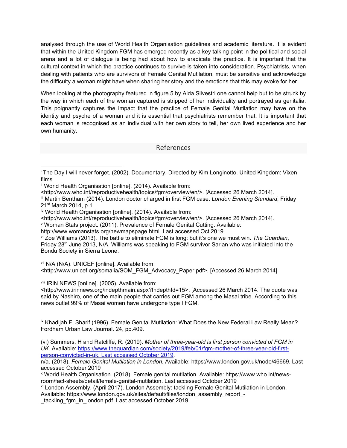analysed through the use of World Health Organisation guidelines and academic literature. It is evident that within the United Kingdom FGM has emerged recently as a key talking point in the political and social arena and a lot of dialogue is being had about how to eradicate the practice. It is important that the cultural context in which the practice continues to survive is taken into consideration. Psychiatrists, when dealing with patients who are survivors of Female Genital Mutilation, must be sensitive and acknowledge the difficulty a woman might have when sharing her story and the emotions that this may evoke for her.

When looking at the photography featured in figure 5 by Aida Silvestri one cannot help but to be struck by the way in which each of the woman captured is stripped of her individuality and portrayed as genitalia. This poignantly captures the impact that the practice of Female Genital Mutilation may have on the identity and psyche of a woman and it is essential that psychiatrists remember that. It is important that each woman is recognised as an individual with her own story to tell, her own lived experience and her own humanity.

# References

<span id="page-12-2"></span>iii Martin Bentham (2014). London doctor charged in first FGM case. *London Evening Standard*, Friday 21st March 2014, p.1

<http://www.who.int/reproductivehealth/topics/fgm/overview/en/>. [Accessed 26 March 2014].

<span id="page-12-4"></span><sup>v</sup> Woman Stats project. (2011). Prevalence of Female Genital Cutting. Available:

<span id="page-12-5"></span>vi Zoe Williams (2013). The battle to eliminate FGM is long: but it's one we must win. *The Guardian*, Friday 28<sup>th</sup> June 2013, N/A. Williams was speaking to FGM survivor Sarian who was initiated into the Bondu Society in Sierra Leone.

<span id="page-12-6"></span>vii N/A (N/A). UNICEF [online]. Available from:

<http://www.unicef.org/somalia/SOM\_FGM\_Advocacy\_Paper.pdf>. [Accessed 26 March 2014]

<span id="page-12-7"></span>viii IRIN NEWS [online]. (2005). Available from:

<http://www.irinnews.org/indepthmain.aspx?IndepthId=15>. [Accessed 26 March 2014. The quote was said by Nashiro, one of the main people that carries out FGM among the Masai tribe. According to this news outlet 99% of Masai women have undergone type I FGM.

<span id="page-12-8"></span>ix Khadijah F. Sharif (1996). Female Genital Mutilation: What Does the New Federal Law Really Mean?. Fordham Urban Law Journal. 24, pp.409.

(vi) Summers, H and Ratcliffe, R. (2019). *Mother of three-year-old is first person convicted of FGM in UK.* Available: [https://www.theguardian.com/society/2019/feb/01/fgm-mother-of-three-year-old-first](https://www.theguardian.com/society/2019/feb/01/fgm-mother-of-three-year-old-first-person-convicted-in-uk.%20Last%20accessed%20October%202019)[person-convicted-in-uk. Last accessed October 2019.](https://www.theguardian.com/society/2019/feb/01/fgm-mother-of-three-year-old-first-person-convicted-in-uk.%20Last%20accessed%20October%202019)

n/a. (2018). *Female Genital Mutilation in London.* Available: https://www.london.gov.uk/node/46669. Last accessed October 2019

<span id="page-12-9"></span><sup>x</sup> World Health Organisation. (2018). Female genital mutilation. Available: https://www.who.int/newsroom/fact-sheets/detail/female-genital-mutilation. Last accessed October 2019

<span id="page-12-10"></span>xi London Assembly. (April 2017). London Assembly: tackling Female Genital Mutilation in London. Available: https://www.london.gov.uk/sites/default/files/london\_assembly\_report\_-

\_tackling\_fgm\_in\_london.pdf. Last accessed October 2019

<span id="page-12-0"></span><sup>i</sup> The Day I will never forget. (2002). Documentary. Directed by Kim Longinotto. United Kingdom: Vixen films

<span id="page-12-1"></span><sup>&</sup>lt;sup>ii</sup> World Health Organisation [online]. (2014). Available from:

<sup>&</sup>lt;http://www.who.int/reproductivehealth/topics/fgm/overview/en/>. [Accessed 26 March 2014].

<span id="page-12-3"></span>iv World Health Organisation [online]. (2014). Available from:

http://www.womanstats.org/newmapspage.html. Last accessed Oct 2019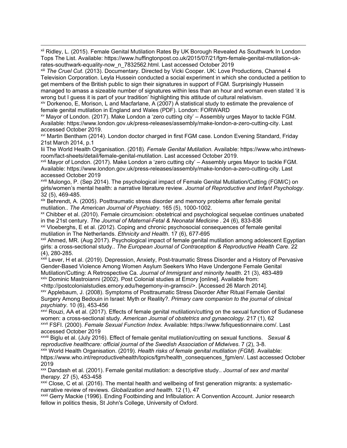<span id="page-13-0"></span>xii Ridley, L. (2015). Female Genital Mutilation Rates By UK Borough Revealed As Southwark In London Tops The List. Available: https://www.huffingtonpost.co.uk/2015/07/21/fgm-female-genital-mutilation-ukrates-southwark-equality-now\_n\_7832562.html. Last accessed October 2019

<span id="page-13-1"></span>xiii *The Cruel Cut*. (2013). Documentary. Directed by Vicki Cooper. UK: Love Productions, Channel 4 Television Corporation. Leyla Hussein conducted a social experiment in which she conducted a petition to get members of the British public to sign their signatures in support of FGM. Surprisingly Hussein managed to amass a sizeable number of signatures within less than an hour and woman even stated 'it is wrong but I guess it is part of your tradition' highlighting this attitude of cultural relativism.

<span id="page-13-2"></span>xiv Dorkenoo, E, Morison, L and Macfarlane, A (2007) A statistical study to estimate the prevalence of female genital mutilation in England and Wales (PDF). London: FORWARD

<span id="page-13-3"></span>xv Mayor of London. (2017). Make London a 'zero cutting city' – Assembly urges Mayor to tackle FGM. Available: https://www.london.gov.uk/press-releases/assembly/make-london-a-zero-cutting-city. Last accessed October 2019.

<span id="page-13-4"></span>xvi Martin Bentham (2014). London doctor charged in first FGM case. London Evening Standard, Friday 21st March 2014, p.1

Iii The World Health Organisation. (2018). *Female Genital Mutilation.* Available: https://www.who.int/newsroom/fact-sheets/detail/female-genital-mutilation. Last accessed October 2019.

<span id="page-13-5"></span>xvii Mayor of London. (2017). Make London a 'zero cutting city' – Assembly urges Mayor to tackle FGM. Available: https://www.london.gov.uk/press-releases/assembly/make-london-a-zero-cutting-city. Last accessed October 2019

<span id="page-13-6"></span>xviii Mulongo, P. (Sep 2014). The psychological impact of Female Genital Mutilation/Cutting (FGM/C) on girls/women's mental health: a narrative literature review. *Journal of Reproductive and Infant Psychology*. 32 (5), 469-485.

<span id="page-13-7"></span>xix Behrendt, A. (2005). Posttraumatic stress disorder and memory problems after female genital mutilation.. *The American Journal of Psychiatry*. 165 (5), 1000-1002.

<span id="page-13-8"></span>xx Chibber et al. (2010). Female circumcision: obstetrical and psychological sequelae continues unabated in the 21st century. *The Journal of Maternal-Fetal & Neonatal Medicine* . 24 (6), 833-836

<span id="page-13-9"></span>xxi Vloeberghs, E et al. (2012). Coping and chronic psychosocial consequences of female genital mutilation in The Netherlands. *Ethnicity and Health*. 17 (6), 677-695

<span id="page-13-10"></span>xxii Ahmed, MR. (Aug 2017). Psychological impact of female genital mutilation among adolescent Egyptian girls: a cross-sectional study.. *The European Journal of Contraception & Reproductive Health Care*. 22 (4), 280-285.

<span id="page-13-11"></span>xxiii Lever, H et al. (2019). Depression, Anxiety, Post-traumatic Stress Disorder and a History of Pervasive Gender-Based Violence Among Women Asylum Seekers Who Have Undergone Female Genital Mutilation/Cutting: A Retrospective Ca. *Journal of Immigrant and minority health*. 21 (3), 483-489 xxiv Dominic Mastroianni (2002). Post Colonial studies at Emory [online]. Available from:

<span id="page-13-12"></span><http://postcolonialstudies.emory.edu/hegemony-in-gramsci/>. [Accessed 26 March 2014].

<span id="page-13-13"></span>xxv Applebaum, J. (2008). Symptoms of Posttraumatic Stress Disorder After Ritual Female Genital Surgery Among Bedouin in Israel: Myth or Reality?. *Primary care companion to the journal of clinical psychiatry*. 10 (6), 453-456

<span id="page-13-14"></span>xxvi Rouzi, AA et al. (2017). Effects of female genital mutilation/cutting on the sexual function of Sudanese women: a cross-sectional study. *American Journal of obstetrics and gynaecology*. 217 (1), 62

<span id="page-13-15"></span>xxvii FSFI. (2000). *Female Sexual Function Index.* Available: https://www.fsfiquestionnaire.com/. Last accessed October 2019

<span id="page-13-16"></span>xxviii Biglu et al. (July 2016). Effect of female genital mutilation/cutting on sexual functions. *Sexual & reproductive healthcare: official journal of the Swedish Association of Midwives*. 7 (2), 3-8.

<span id="page-13-17"></span>xxix World Health Organisation. (2019). *Health risks of female genital mutilation (FGM).* Available:

https://www.who.int/reproductivehealth/topics/fgm/health\_consequences\_fgm/en/. Last accessed October 2019

<span id="page-13-18"></span>xxx Dandash et al. (2001). Female genital mutilation: a descriptive study.. *Journal of sex and marital therapy*. 27 (5), 453-458

<span id="page-13-19"></span>xxxi Close, C et al. (2016). The mental health and wellbeing of first generation migrants: a systematicnarrative review of reviews. *Globalization and health*. 12 (1), 47

<span id="page-13-20"></span>xxxii Gerry Mackie (1996). Ending Footbinding and Infibulation: A Convention Account. Junior research fellow in politics thesis, St John's College, University of Oxford.